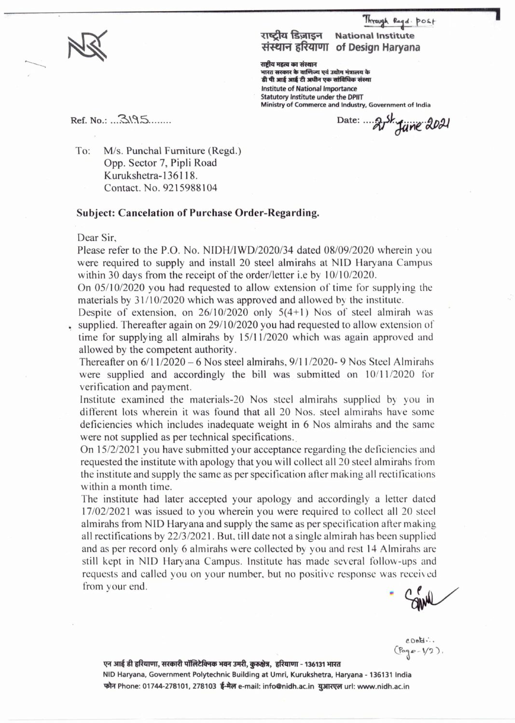Through Read. Post

राष्ट्रीय डिज़ाइन **National Institute** संस्थान हरियाणा of Design Haryana

राष्ट्रीय महत्व का संस्थान भारत सरकार के वाणिज्य एवं उद्योग मंत्रालय के डी पी आई आई टी अधीन एक सांविधिक संस्था **Institute of National Importance Statutory Institute under the DPIIT** Ministry of Commerce and Industry, Government of India

June 2021 Date: ..

Ref. No.: 3195

To: M/s. Punchal Furniture (Regd.) Opp. Sector 7, Pipli Road Kurukshetra-136118. Contact. No. 9215988104

## Subject: Cancelation of Purchase Order-Regarding.

## Dear Sir.

Please refer to the P.O. No. NIDH/IWD/2020/34 dated 08/09/2020 wherein you were required to supply and install 20 steel almirahs at NID Haryana Campus within 30 days from the receipt of the order/letter i.e by 10/10/2020.

On 05/10/2020 you had requested to allow extension of time for supplying the materials by 31/10/2020 which was approved and allowed by the institute.

Despite of extension, on  $26/10/2020$  only  $5(4+1)$  Nos of steel almirah was supplied. Thereafter again on 29/10/2020 you had requested to allow extension of time for supplying all almirahs by 15/11/2020 which was again approved and allowed by the competent authority.

Thereafter on  $6/11/2020 - 6$  Nos steel almirahs,  $9/11/2020 - 9$  Nos Steel Almirahs were supplied and accordingly the bill was submitted on 10/11/2020 for verification and payment.

Institute examined the materials-20 Nos steel almirahs supplied by you in different lots wherein it was found that all 20 Nos. steel almirahs have some deficiencies which includes inadequate weight in 6 Nos almirahs and the same were not supplied as per technical specifications.

On 15/2/2021 you have submitted your acceptance regarding the deficiencies and requested the institute with apology that you will collect all 20 steel almirahs from the institute and supply the same as per specification after making all rectifications within a month time.

The institute had later accepted your apology and accordingly a letter dated 17/02/2021 was issued to you wherein you were required to collect all 20 steel almirahs from NID Haryana and supply the same as per specification after making all rectifications by 22/3/2021. But, till date not a single almirah has been supplied and as per record only 6 almirahs were collected by you and rest 14 Almirahs are still kept in NID Haryana Campus. Institute has made several follow-ups and requests and called you on your number, but no positive response was received from your end.

 $conbl...$  $(Page - V2)$ 

एन आई डी हरियाणा, सरकारी पॉलिटेक्निक भवन उमरी, कुरुक्षेत्र, हरियाणा - 136131 भारत NID Haryana, Government Polytechnic Building at Umri, Kurukshetra, Haryana - 136131 India फोन Phone: 01744-278101, 278103 ई-मेल e-mail: info@nidh.ac.in युआरएल url: www.nidh.ac.in